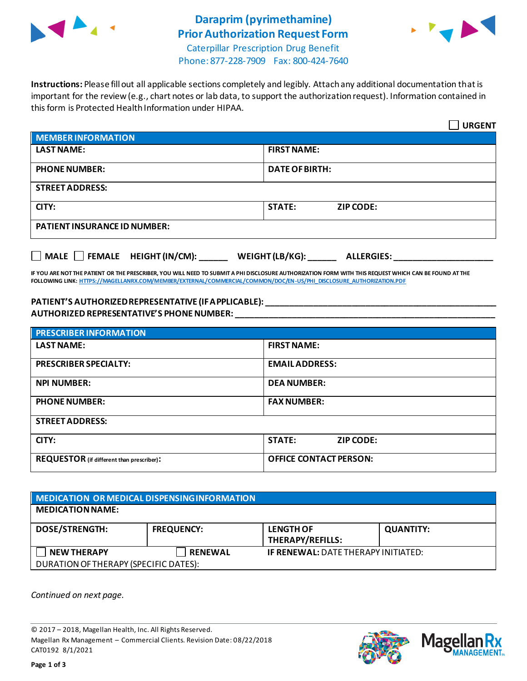

## **Daraprim (pyrimethamine) Prior Authorization Request Form**



Caterpillar Prescription Drug Benefit Phone: 877-228-7909 Fax: 800-424-7640

**Instructions:** Please fill out all applicable sections completely and legibly. Attach any additional documentation that is important for the review (e.g., chart notes or lab data, to support the authorization request). Information contained in this form is Protected Health Information under HIPAA.

|                                                                                   | <b>URGENT</b>                     |  |  |  |
|-----------------------------------------------------------------------------------|-----------------------------------|--|--|--|
| <b>MEMBER INFORMATION</b>                                                         |                                   |  |  |  |
| <b>LAST NAME:</b>                                                                 | <b>FIRST NAME:</b>                |  |  |  |
| <b>PHONE NUMBER:</b>                                                              | <b>DATE OF BIRTH:</b>             |  |  |  |
| <b>STREET ADDRESS:</b>                                                            |                                   |  |  |  |
| CITY:                                                                             | <b>STATE:</b><br><b>ZIP CODE:</b> |  |  |  |
| <b>PATIENT INSURANCE ID NUMBER:</b>                                               |                                   |  |  |  |
| $\Box$ MALE $\Box$ FEMALE HEIGHT (IN/CM):<br>WEIGHT (LB/KG):<br><b>ALLERGIES:</b> |                                   |  |  |  |

**IF YOU ARE NOT THE PATIENT OR THE PRESCRIBER, YOU WILL NEED TO SUBMIT A PHI DISCLOSURE AUTHORIZATION FORM WITH THIS REQUEST WHICH CAN BE FOUND AT THE FOLLOWING LINK[: HTTPS://MAGELLANRX.COM/MEMBER/EXTERNAL/COMMERCIAL/COMMON/DOC/EN-US/PHI\\_DISCLOSURE\\_AUTHORIZATION.PDF](https://magellanrx.com/member/external/commercial/common/doc/en-us/PHI_Disclosure_Authorization.pdf)**

## **PATIENT'S AUTHORIZED REPRESENTATIVE (IF APPLICABLE): \_\_\_\_\_\_\_\_\_\_\_\_\_\_\_\_\_\_\_\_\_\_\_\_\_\_\_\_\_\_\_\_\_\_\_\_\_\_\_\_\_\_\_\_\_\_\_\_\_ AUTHORIZED REPRESENTATIVE'S PHONE NUMBER: \_\_\_\_\_\_\_\_\_\_\_\_\_\_\_\_\_\_\_\_\_\_\_\_\_\_\_\_\_\_\_\_\_\_\_\_\_\_\_\_\_\_\_\_\_\_\_\_\_\_\_\_\_\_\_**

| <b>PRESCRIBER INFORMATION</b>             |                               |  |  |  |
|-------------------------------------------|-------------------------------|--|--|--|
| <b>LAST NAME:</b>                         | <b>FIRST NAME:</b>            |  |  |  |
| <b>PRESCRIBER SPECIALTY:</b>              | <b>EMAIL ADDRESS:</b>         |  |  |  |
| <b>NPI NUMBER:</b>                        | <b>DEA NUMBER:</b>            |  |  |  |
| <b>PHONE NUMBER:</b>                      | <b>FAX NUMBER:</b>            |  |  |  |
| <b>STREET ADDRESS:</b>                    |                               |  |  |  |
| CITY:                                     | <b>STATE:</b><br>ZIP CODE:    |  |  |  |
| REQUESTOR (if different than prescriber): | <b>OFFICE CONTACT PERSON:</b> |  |  |  |

| MEDICATION OR MEDICAL DISPENSING INFORMATION |                   |                                            |                  |  |  |
|----------------------------------------------|-------------------|--------------------------------------------|------------------|--|--|
| <b>MEDICATION NAME:</b>                      |                   |                                            |                  |  |  |
| <b>DOSE/STRENGTH:</b>                        | <b>FREQUENCY:</b> | <b>LENGTH OF</b><br>THERAPY/REFILLS:       | <b>QUANTITY:</b> |  |  |
| <b>NEW THERAPY</b>                           | <b>RENEWAL</b>    | <b>IF RENEWAL: DATE THERAPY INITIATED:</b> |                  |  |  |
| DURATION OF THERAPY (SPECIFIC DATES):        |                   |                                            |                  |  |  |

*Continued on next page.*

© 2017 – 2018, Magellan Health, Inc. All Rights Reserved. Magellan Rx Management – Commercial Clients. Revision Date: 08/22/2018 CAT0192 8/1/2021



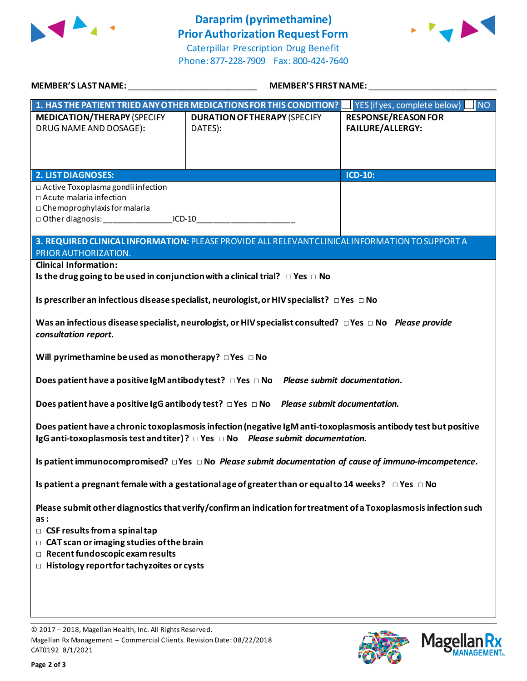

## **Daraprim (pyrimethamine) Prior Authorization Request Form**

Caterpillar Prescription Drug Benefit Phone: 877-228-7909 Fax: 800-424-7640



| MEMBER'S LAST NAME: NAME AND A SERIES AND A SERIES OF STREET AND A SERIES OF STREET AND A SERIES OF STREET AND                                                                                               | <b>MEMBER'S FIRST NAME:</b>                                                                       |                                                       |  |  |
|--------------------------------------------------------------------------------------------------------------------------------------------------------------------------------------------------------------|---------------------------------------------------------------------------------------------------|-------------------------------------------------------|--|--|
|                                                                                                                                                                                                              | 1. HAS THE PATIENT TRIED ANY OTHER MEDICATIONS FOR THIS CONDITION?   YES (if yes, complete below) | NO <sub>1</sub>                                       |  |  |
| <b>MEDICATION/THERAPY (SPECIFY</b><br>DRUG NAME AND DOSAGE):                                                                                                                                                 | <b>DURATION OF THERAPY (SPECIFY</b><br>DATES):                                                    | <b>RESPONSE/REASON FOR</b><br><b>FAILURE/ALLERGY:</b> |  |  |
| <b>2. LIST DIAGNOSES:</b>                                                                                                                                                                                    |                                                                                                   | <b>ICD-10:</b>                                        |  |  |
| □ Active Toxoplasma gondii infection<br>□ Acute malaria infection<br>$\Box$ Chemoprophylaxis for malaria<br>□ Other diagnosis: ____________________ICD-10__________________________________                  | 3. REQUIRED CLINICAL INFORMATION: PLEASE PROVIDE ALL RELEVANT CLINICAL INFORMATION TO SUPPORT A   |                                                       |  |  |
| PRIOR AUTHORIZATION.                                                                                                                                                                                         |                                                                                                   |                                                       |  |  |
| <b>Clinical Information:</b>                                                                                                                                                                                 |                                                                                                   |                                                       |  |  |
| Is the drug going to be used in conjunction with a clinical trial? $\Box$ Yes $\Box$ No                                                                                                                      |                                                                                                   |                                                       |  |  |
| Is prescriber an infectious disease specialist, neurologist, or HIV specialist? $\Box$ Yes $\Box$ No                                                                                                         |                                                                                                   |                                                       |  |  |
| Was an infectious disease specialist, neurologist, or HIV specialist consulted? $\Box$ Yes $\Box$ No Please provide<br>consultation report.                                                                  |                                                                                                   |                                                       |  |  |
| Will pyrimethamine be used as monotherapy? $\Box$ Yes $\Box$ No                                                                                                                                              |                                                                                                   |                                                       |  |  |
| Does patient have a positive IgM antibody test? $\Box$ Yes $\Box$ No Please submit documentation.                                                                                                            |                                                                                                   |                                                       |  |  |
|                                                                                                                                                                                                              | Does patient have a positive IgG antibody test? $\Box$ Yes $\Box$ No Please submit documentation. |                                                       |  |  |
| Does patient have a chronic toxoplasmosis infection (negative IgM anti-toxoplasmosis antibody test but positive<br>IgG anti-toxoplasmosis test and titer)? $\Box$ Yes $\Box$ No Please submit documentation. |                                                                                                   |                                                       |  |  |
| Is patient immunocompromised? $\Box$ Yes $\Box$ No Please submit documentation of cause of immuno-imcompetence.                                                                                              |                                                                                                   |                                                       |  |  |
| Is patient a pregnant female with a gestational age of greater than or equal to 14 weeks? $\Box$ Yes $\Box$ No                                                                                               |                                                                                                   |                                                       |  |  |
| Please submit other diagnostics that verify/confirm an indication for treatment of a Toxoplasmosis infection such<br>as:                                                                                     |                                                                                                   |                                                       |  |  |
| $\Box$ CSF results from a spinal tap                                                                                                                                                                         |                                                                                                   |                                                       |  |  |
| $\Box$ CAT scan or imaging studies of the brain<br>$\Box$ Recent fundoscopic exam results                                                                                                                    |                                                                                                   |                                                       |  |  |
| $\Box$ Histology report for tachyzoites or cysts                                                                                                                                                             |                                                                                                   |                                                       |  |  |
|                                                                                                                                                                                                              |                                                                                                   |                                                       |  |  |
|                                                                                                                                                                                                              |                                                                                                   |                                                       |  |  |

© 2017 – 2018, Magellan Health, Inc. All Rights Reserved. Magellan Rx Management – Commercial Clients. Revision Date: 08/22/2018 CAT0192 8/1/2021